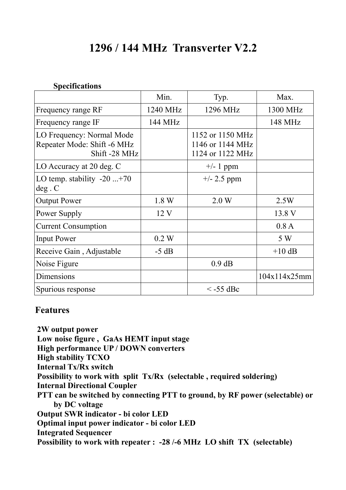# **1296 / 144 MHz Transverter V2.2**

# **Specifications**

|                                                                           | Min.     | Typ.                                                     | Max.         |
|---------------------------------------------------------------------------|----------|----------------------------------------------------------|--------------|
| Frequency range RF                                                        | 1240 MHz | 1296 MHz                                                 | 1300 MHz     |
| Frequency range IF                                                        | 144 MHz  |                                                          | 148 MHz      |
| LO Frequency: Normal Mode<br>Repeater Mode: Shift -6 MHz<br>Shift -28 MHz |          | 1152 or 1150 MHz<br>1146 or 1144 MHz<br>1124 or 1122 MHz |              |
| LO Accuracy at 20 deg. C                                                  |          | $+/- 1$ ppm                                              |              |
| LO temp. stability $-20$ $+70$<br>deg.C                                   |          | $+/- 2.5$ ppm                                            |              |
| <b>Output Power</b>                                                       | 1.8 W    | 2.0 W                                                    | 2.5W         |
| Power Supply                                                              | 12V      |                                                          | 13.8 V       |
| <b>Current Consumption</b>                                                |          |                                                          | 0.8A         |
| <b>Input Power</b>                                                        | 0.2 W    |                                                          | 5 W          |
| Receive Gain, Adjustable                                                  | $-5 dB$  |                                                          | $+10$ dB     |
| Noise Figure                                                              |          | $0.9$ dB                                                 |              |
| Dimensions                                                                |          |                                                          | 104x114x25mm |
| Spurious response                                                         |          | $\le$ -55 dBc                                            |              |

# **Features**

 **2W output power Low noise figure , GaAs HEMT input stage High performance UP / DOWN converters High stability TCXO Internal Tx/Rx switch Possibility to work with split Tx/Rx (selectable , required soldering) Internal Directional Coupler PTT can be switched by connecting PTT to ground, by RF power (selectable) or by DC voltage Output SWR indicator - bi color LED Optimal input power indicator - bi color LED Integrated Sequencer Possibility to work with repeater : -28 /-6 MHz LO shift TX (selectable)**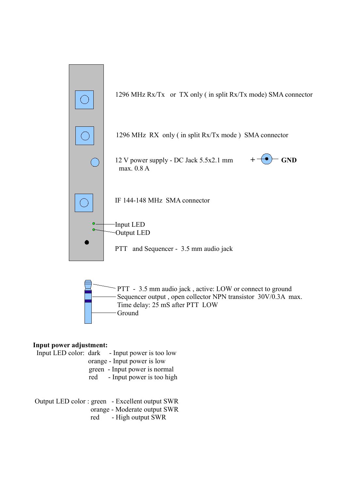

#### **Input power adjustment:**

 Input LED color: dark - Input power is too low orange - Input power is low green - Input power is normal red - Input power is too high

 Output LED color : green - Excellent output SWR orange - Moderate output SWR red - High output SWR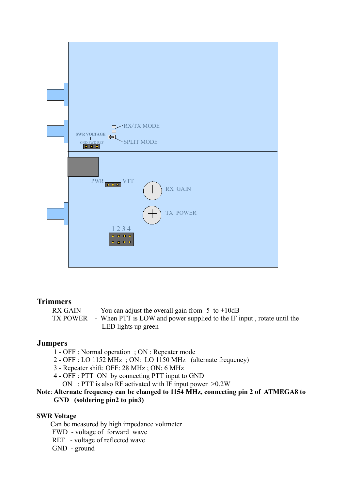

## **Trimmers**

RX GAIN - You can adjust the overall gain from  $-5$  to  $+10dB$  TX POWER - When PTT is LOW and power supplied to the IF input , rotate until the LED lights up green

## **Jumpers**

- 1 OFF : Normal operation ; ON : Repeater mode
- 2 OFF : LO 1152 MHz ; ON: LO 1150 MHz (alternate frequency)
- 3 Repeater shift: OFF: 28 MHz ; ON: 6 MHz
- 4 OFF : PTT ON by connecting PTT input to GND
	- ON : PTT is also RF activated with IF input power  $>0.2W$

## **Note**: **Alternate frequency can be changed to 1154 MHz, connecting pin 2 of ATMEGA8 to GND (soldering pin2 to pin3)**

#### **SWR Voltage**

Can be measured by high impedance voltmeter

- FWD voltage of forward wave
- REF voltage of reflected wave

GND - ground